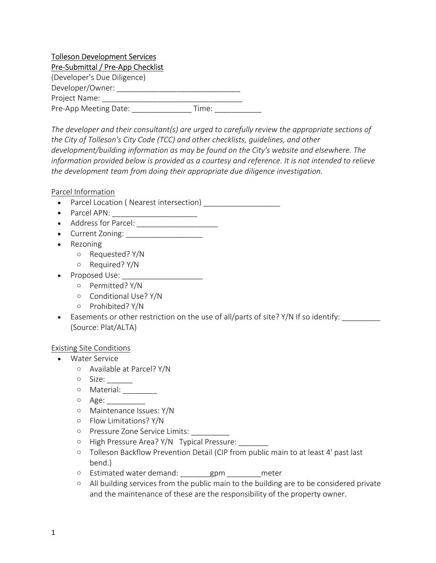# Tolleson Development Services Pre-Submittal / Pre-App Checklist

| (Developer's Due Diligence) |       |
|-----------------------------|-------|
| Developer/Owner:            |       |
| Project Name:               |       |
| Pre-App Meeting Date:       | Time: |

The developer and their consultant(s) are urged to carefully review the appropriate sections of the City of Tolleson's City Code (TCC) and other checklists, guidelines, and other development/building information as may be found on the City's website and elsewhere. The information provided below is provided as a courtesy and reference. It is not intended to relieve the development team from doing their appropriate due diligence investigation.

Parcel Information

- Parcel Location ( Nearest intersection) \_\_\_\_\_\_\_\_\_\_\_\_\_\_\_\_\_\_
- Parcel APN:
- Address for Parcel: \_\_\_\_\_\_\_\_\_\_\_\_\_\_\_\_\_\_\_
- Current Zoning:
- Rezoning
	- o Requested? Y/N
	- o Required? Y/N
- Proposed Use: \_\_\_\_\_\_\_\_\_\_\_\_\_\_\_\_\_\_\_
	- o Permitted? Y/N
	- o Conditional Use? Y/N
	- o Prohibited? Y/N
- Easements or other restriction on the use of all/parts of site? Y/N If so identify: \_\_\_\_\_\_\_\_ (Source: Plat/ALTA)

#### Existing Site Conditions

- Water Service
	- o Available at Parcel? Y/N
	- o Size: \_\_\_\_\_\_
	- o Material: \_\_\_\_\_
	- o Age: \_\_\_\_\_\_\_\_\_
	- o Maintenance Issues: Y/N
	- o Flow Limitations? Y/N
	- o Pressure Zone Service Limits: \_\_\_\_\_\_\_\_\_
	- o High Pressure Area? Y/N Typical Pressure:
	- o Tolleson Backflow Prevention Detail (CIP from public main to at least 4' past last bend.)
	- o Estimated water demand: \_\_\_\_\_\_\_gpm \_\_\_\_\_\_\_\_meter
	- o All building services from the public main to the building are to be considered private and the maintenance of these are the responsibility of the property owner.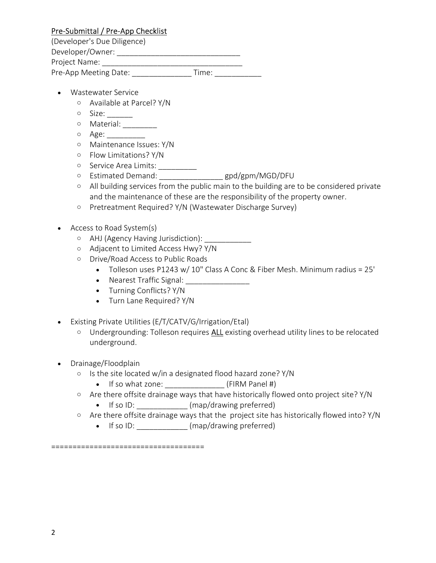# Pre-Submittal / Pre-App Checklist

(Developer's Due Diligence)

Developer/Owner: \_\_\_\_\_\_\_\_\_\_\_\_\_\_\_\_\_\_\_\_\_\_\_\_\_\_\_\_\_

Project Name: \_\_\_\_\_\_\_\_\_\_\_\_\_\_\_\_\_\_\_\_\_\_\_\_\_\_\_\_\_\_\_\_\_

Pre-App Meeting Date: Time:

- Wastewater Service
	- o Available at Parcel? Y/N
	- o Size: \_\_\_\_\_\_
	- o Material: \_\_\_\_\_\_\_\_\_
	- o Age: \_\_\_\_\_\_\_\_\_
	- o Maintenance Issues: Y/N
	- o Flow Limitations? Y/N
	- o Service Area Limits: \_\_\_\_\_\_\_\_\_\_\_
	- o Estimated Demand: \_\_\_\_\_\_\_\_\_\_\_\_\_\_\_ gpd/gpm/MGD/DFU
	- o All building services from the public main to the building are to be considered private and the maintenance of these are the responsibility of the property owner.
	- o Pretreatment Required? Y/N (Wastewater Discharge Survey)
- Access to Road System(s)
	- o AHJ (Agency Having Jurisdiction): \_\_\_\_\_\_\_\_\_\_\_\_
	- o Adjacent to Limited Access Hwy? Y/N
	- o Drive/Road Access to Public Roads
		- Tolleson uses P1243 w/ 10" Class A Conc & Fiber Mesh. Minimum radius = 25'
		- Nearest Traffic Signal: \_\_\_\_\_\_\_\_\_\_\_\_\_\_\_\_
		- Turning Conflicts? Y/N
		- Turn Lane Required? Y/N
- Existing Private Utilities (E/T/CATV/G/Irrigation/Etal)
	- o Undergrounding: Tolleson requires ALL existing overhead utility lines to be relocated underground.
- Drainage/Floodplain
	- o Is the site located w/in a designated flood hazard zone? Y/N
		- If so what zone: \_\_\_\_\_\_\_\_\_\_\_\_\_\_\_\_\_\_ (FIRM Panel #)
	- o Are there offsite drainage ways that have historically flowed onto project site? Y/N
		- If so ID: \_\_\_\_\_\_\_\_\_\_\_\_\_ (map/drawing preferred)
	- o Are there offsite drainage ways that the project site has historically flowed into? Y/N
		- If so ID: \_\_\_\_\_\_\_\_\_\_\_\_\_ (map/drawing preferred)

====================================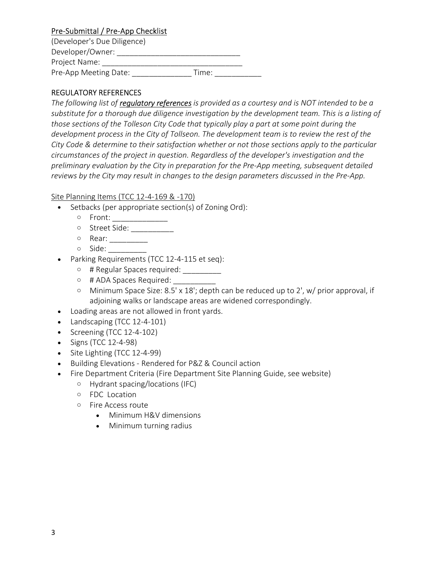# Pre-Submittal / Pre-App Checklist

| (Developer's Due Diligence) |       |  |
|-----------------------------|-------|--|
| Developer/Owner:            |       |  |
| Project Name:               |       |  |
| Pre-App Meeting Date:       | Time: |  |

### REGULATORY REFERENCES

The following list of *regulatory references* is provided as a courtesy and is NOT intended to be a substitute for a thorough due diligence investigation by the development team. This is a listing of those sections of the Tolleson City Code that typically play a part at some point during the development process in the City of Tollseon. The development team is to review the rest of the City Code & determine to their satisfaction whether or not those sections apply to the particular circumstances of the project in question. Regardless of the developer's investigation and the preliminary evaluation by the City in preparation for the Pre-App meeting, subsequent detailed reviews by the City may result in changes to the design parameters discussed in the Pre-App.

#### Site Planning Items (TCC 12-4-169 & -170)

- Setbacks (per appropriate section(s) of Zoning Ord):
	- o Front: \_\_\_\_\_\_\_\_\_\_\_\_\_
	- o Street Side: \_\_\_\_\_\_\_\_\_\_
	- o Rear: \_\_\_\_\_\_\_\_\_
	- o Side: \_\_\_\_\_\_\_\_\_
- Parking Requirements (TCC 12-4-115 et seq):
	- o # Regular Spaces required: \_\_\_\_\_\_\_\_\_\_
	- o # ADA Spaces Required: \_\_\_\_\_\_\_\_\_\_\_
	- o Minimum Space Size: 8.5' x 18'; depth can be reduced up to 2', w/ prior approval, if adjoining walks or landscape areas are widened correspondingly.
- Loading areas are not allowed in front yards.
- Landscaping (TCC 12-4-101)
- $\bullet$  Screening (TCC 12-4-102)
- $\bullet$  Signs (TCC 12-4-98)
- Site Lighting (TCC 12-4-99)
- Building Elevations Rendered for P&Z & Council action
- Fire Department Criteria (Fire Department Site Planning Guide, see website)
	- o Hydrant spacing/locations (IFC)
	- o FDC Location
	- o Fire Access route
		- Minimum H&V dimensions
		- Minimum turning radius